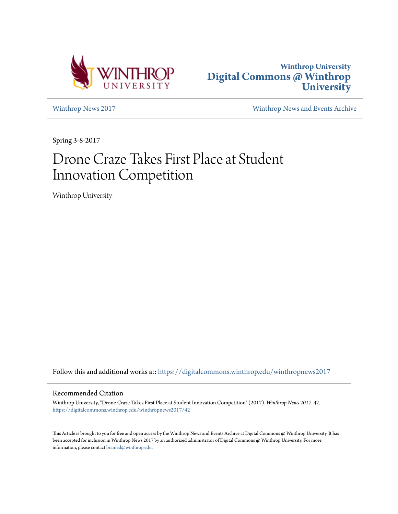



[Winthrop News 2017](https://digitalcommons.winthrop.edu/winthropnews2017?utm_source=digitalcommons.winthrop.edu%2Fwinthropnews2017%2F42&utm_medium=PDF&utm_campaign=PDFCoverPages) [Winthrop News and Events Archive](https://digitalcommons.winthrop.edu/winthropnewsarchives?utm_source=digitalcommons.winthrop.edu%2Fwinthropnews2017%2F42&utm_medium=PDF&utm_campaign=PDFCoverPages)

Spring 3-8-2017

## Drone Craze Takes First Place at Student Innovation Competition

Winthrop University

Follow this and additional works at: [https://digitalcommons.winthrop.edu/winthropnews2017](https://digitalcommons.winthrop.edu/winthropnews2017?utm_source=digitalcommons.winthrop.edu%2Fwinthropnews2017%2F42&utm_medium=PDF&utm_campaign=PDFCoverPages)

## Recommended Citation

Winthrop University, "Drone Craze Takes First Place at Student Innovation Competition" (2017). *Winthrop News 2017*. 42. [https://digitalcommons.winthrop.edu/winthropnews2017/42](https://digitalcommons.winthrop.edu/winthropnews2017/42?utm_source=digitalcommons.winthrop.edu%2Fwinthropnews2017%2F42&utm_medium=PDF&utm_campaign=PDFCoverPages)

This Article is brought to you for free and open access by the Winthrop News and Events Archive at Digital Commons @ Winthrop University. It has been accepted for inclusion in Winthrop News 2017 by an authorized administrator of Digital Commons @ Winthrop University. For more information, please contact [bramed@winthrop.edu](mailto:bramed@winthrop.edu).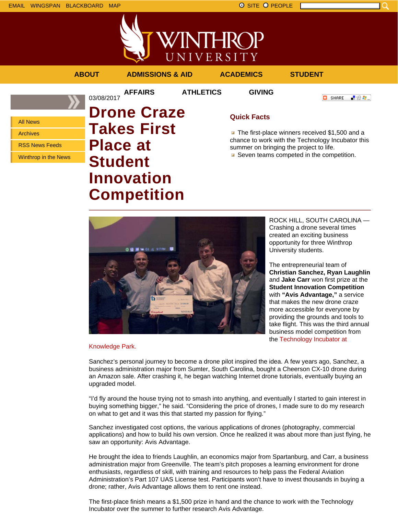

VINTHROP UNIVERSITY **ABOUT ADMISSIONS & AID ACADEMICS STUDENT AFFAIRS ATHLETICS GIVING** 03/08/2017 **C** SHARE - 89 年 -**Drone Craze**

All News Archives RSS News Feeds Winthrop in the News

**Takes First Place at Student Innovation Competition**

## **Quick Facts**

The first-place winners received \$1,500 and a chance to work with the Technology Incubator this summer on bringing the project to life.

Seven teams competed in the competition.



ROCK HILL, SOUTH CAROLINA — Crashing a drone several times created an exciting business opportunity for three Winthrop University students.

The entrepreneurial team of **Christian Sanchez, Ryan Laughlin** and **Jake Carr** won first prize at the **Student Innovation Competition** with **"Avis Advantage,"** a service that makes the new drone craze more accessible for everyone by providing the grounds and tools to take flight. This was the third annual business model competition from the Technology Incubator at

Knowledge Park.

Sanchez's personal journey to become a drone pilot inspired the idea. A few years ago, Sanchez, a business administration major from Sumter, South Carolina, bought a Cheerson CX-10 drone during an Amazon sale. After crashing it, he began watching Internet drone tutorials, eventually buying an upgraded model.

"I'd fly around the house trying not to smash into anything, and eventually I started to gain interest in buying something bigger," he said. "Considering the price of drones, I made sure to do my research on what to get and it was this that started my passion for flying."

Sanchez investigated cost options, the various applications of drones (photography, commercial applications) and how to build his own version. Once he realized it was about more than just flying, he saw an opportunity: Avis Advantage.

He brought the idea to friends Laughlin, an economics major from Spartanburg, and Carr, a business administration major from Greenville. The team's pitch proposes a learning environment for drone enthusiasts, regardless of skill, with training and resources to help pass the Federal Aviation Administration's Part 107 UAS License test. Participants won't have to invest thousands in buying a drone; rather, Avis Advantage allows them to rent one instead.

The first-place finish means a \$1,500 prize in hand and the chance to work with the Technology Incubator over the summer to further research Avis Advantage.